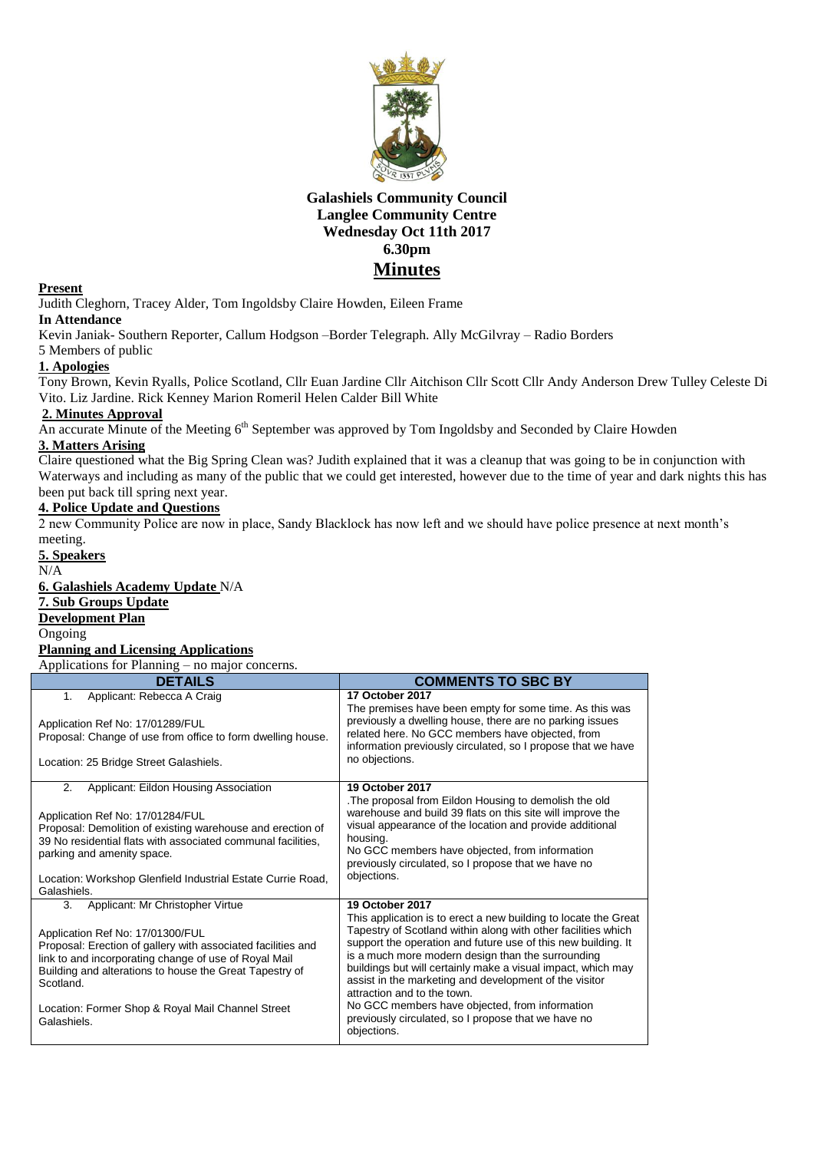

## **Galashiels Community Council Langlee Community Centre Wednesday Oct 11th 2017 6.30pm Minutes**

### **Present**

Judith Cleghorn, Tracey Alder, Tom Ingoldsby Claire Howden, Eileen Frame

### **In Attendance**

Kevin Janiak- Southern Reporter, Callum Hodgson –Border Telegraph. Ally McGilvray – Radio Borders 5 Members of public

### **1. Apologies**

Tony Brown, Kevin Ryalls, Police Scotland, Cllr Euan Jardine Cllr Aitchison Cllr Scott Cllr Andy Anderson Drew Tulley Celeste Di Vito. Liz Jardine. Rick Kenney Marion Romeril Helen Calder Bill White

### **2. Minutes Approval**

An accurate Minute of the Meeting 6<sup>th</sup> September was approved by Tom Ingoldsby and Seconded by Claire Howden

### **3. Matters Arising**

Claire questioned what the Big Spring Clean was? Judith explained that it was a cleanup that was going to be in conjunction with Waterways and including as many of the public that we could get interested, however due to the time of year and dark nights this has been put back till spring next year.

## **4. Police Update and Questions**

2 new Community Police are now in place, Sandy Blacklock has now left and we should have police presence at next month's meeting.

**5. Speakers** N/A **6. Galashiels Academy Update** N/A **7. Sub Groups Update Development Plan** Ongoing **Planning and Licensing Applications** Applications for Planning – no major concerns. **COMMENTS TO SBC BY** 1. Applicant: Rebecca A Craig Application Ref No: 17/01289/FUL Proposal: Change of use from office to form dwelling house. Location: 25 Bridge Street Galashiels. **17 October 2017** The premises have been empty for some time. As this was previously a dwelling house, there are no parking issues related here. No GCC members have objected, from information previously circulated, so I propose that we have no objections. 2. Applicant: Eildon Housing Association Application Ref No: 17/01284/FUL Proposal: Demolition of existing warehouse and erection of 39 No residential flats with associated communal facilities, parking and amenity space. Location: Workshop Glenfield Industrial Estate Currie Road, **Galashiels 19 October 2017** .The proposal from Eildon Housing to demolish the old warehouse and build 39 flats on this site will improve the visual appearance of the location and provide additional housing. No GCC members have objected, from information previously circulated, so I propose that we have no objections. 3. Applicant: Mr Christopher Virtue Application Ref No: 17/01300/FUL Proposal: Erection of gallery with associated facilities and link to and incorporating change of use of Royal Mail Building and alterations to house the Great Tapestry of Scotland. Location: Former Shop & Royal Mail Channel Street Galashiels. **19 October 2017** This application is to erect a new building to locate the Great Tapestry of Scotland within along with other facilities which support the operation and future use of this new building. It is a much more modern design than the surrounding buildings but will certainly make a visual impact, which may assist in the marketing and development of the visitor attraction and to the town. No GCC members have objected, from information previously circulated, so I propose that we have no objections.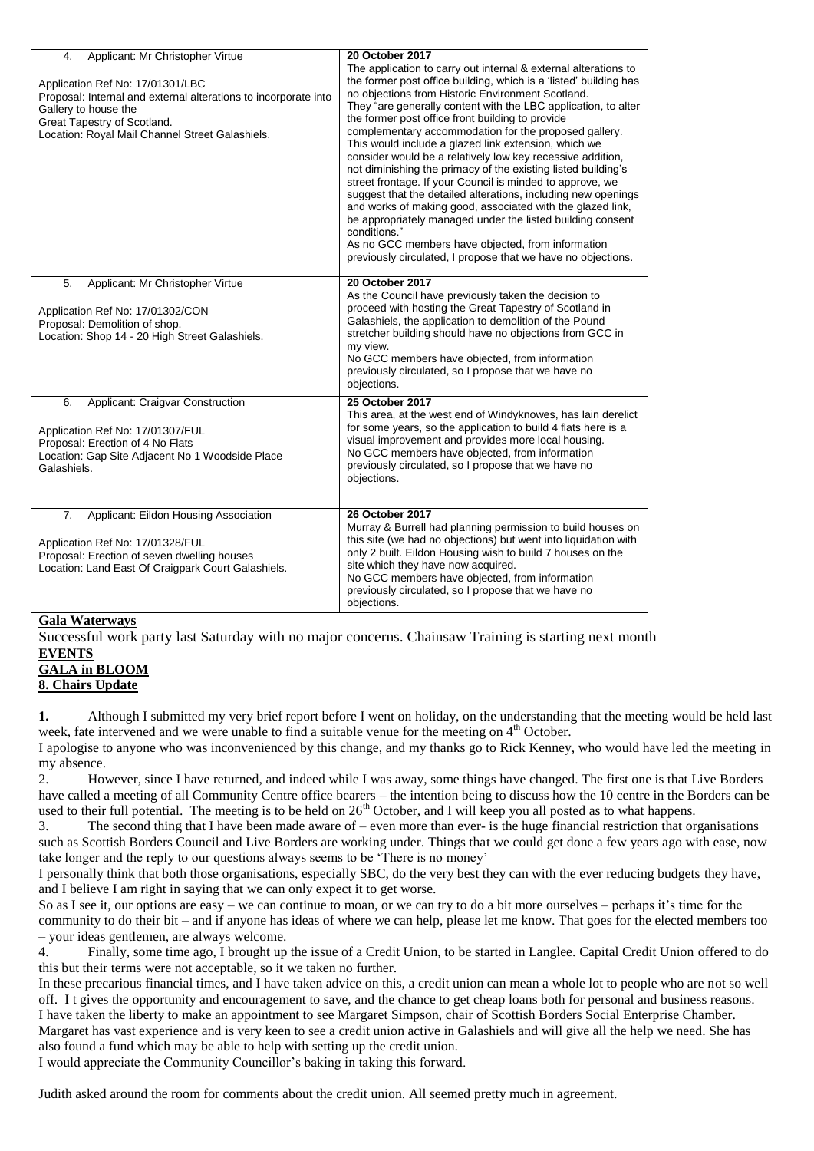| Applicant: Mr Christopher Virtue<br>4.<br>Application Ref No: 17/01301/LBC<br>Proposal: Internal and external alterations to incorporate into<br>Gallery to house the<br>Great Tapestry of Scotland.<br>Location: Royal Mail Channel Street Galashiels. | 20 October 2017<br>The application to carry out internal & external alterations to<br>the former post office building, which is a 'listed' building has<br>no objections from Historic Environment Scotland.<br>They "are generally content with the LBC application, to alter<br>the former post office front building to provide<br>complementary accommodation for the proposed gallery.<br>This would include a glazed link extension, which we<br>consider would be a relatively low key recessive addition,<br>not diminishing the primacy of the existing listed building's<br>street frontage. If your Council is minded to approve, we<br>suggest that the detailed alterations, including new openings<br>and works of making good, associated with the glazed link,<br>be appropriately managed under the listed building consent<br>conditions."<br>As no GCC members have objected, from information<br>previously circulated. I propose that we have no objections. |
|---------------------------------------------------------------------------------------------------------------------------------------------------------------------------------------------------------------------------------------------------------|-----------------------------------------------------------------------------------------------------------------------------------------------------------------------------------------------------------------------------------------------------------------------------------------------------------------------------------------------------------------------------------------------------------------------------------------------------------------------------------------------------------------------------------------------------------------------------------------------------------------------------------------------------------------------------------------------------------------------------------------------------------------------------------------------------------------------------------------------------------------------------------------------------------------------------------------------------------------------------------|
| 5.<br>Applicant: Mr Christopher Virtue<br>Application Ref No: 17/01302/CON<br>Proposal: Demolition of shop.<br>Location: Shop 14 - 20 High Street Galashiels.                                                                                           | 20 October 2017<br>As the Council have previously taken the decision to<br>proceed with hosting the Great Tapestry of Scotland in<br>Galashiels, the application to demolition of the Pound<br>stretcher building should have no objections from GCC in<br>my view.<br>No GCC members have objected, from information<br>previously circulated, so I propose that we have no<br>objections.                                                                                                                                                                                                                                                                                                                                                                                                                                                                                                                                                                                       |
| 6.<br>Applicant: Craigvar Construction<br>Application Ref No: 17/01307/FUL<br>Proposal: Erection of 4 No Flats<br>Location: Gap Site Adjacent No 1 Woodside Place<br>Galashiels.                                                                        | 25 October 2017<br>This area, at the west end of Windyknowes, has lain derelict<br>for some years, so the application to build 4 flats here is a<br>visual improvement and provides more local housing.<br>No GCC members have objected, from information<br>previously circulated, so I propose that we have no<br>objections.                                                                                                                                                                                                                                                                                                                                                                                                                                                                                                                                                                                                                                                   |
| 7.<br>Applicant: Eildon Housing Association<br>Application Ref No: 17/01328/FUL<br>Proposal: Erection of seven dwelling houses<br>Location: Land East Of Craigpark Court Galashiels.                                                                    | <b>26 October 2017</b><br>Murray & Burrell had planning permission to build houses on<br>this site (we had no objections) but went into liquidation with<br>only 2 built. Eildon Housing wish to build 7 houses on the<br>site which they have now acquired.<br>No GCC members have objected, from information<br>previously circulated, so I propose that we have no<br>objections.                                                                                                                                                                                                                                                                                                                                                                                                                                                                                                                                                                                              |

### **Gala Waterways**

Successful work party last Saturday with no major concerns. Chainsaw Training is starting next month **EVENTS**

# **GALA in BLOOM**

## **8. Chairs Update**

**1.** Although I submitted my very brief report before I went on holiday, on the understanding that the meeting would be held last week, fate intervened and we were unable to find a suitable venue for the meeting on 4<sup>th</sup> October.

I apologise to anyone who was inconvenienced by this change, and my thanks go to Rick Kenney, who would have led the meeting in my absence.

2. However, since I have returned, and indeed while I was away, some things have changed. The first one is that Live Borders have called a meeting of all Community Centre office bearers – the intention being to discuss how the 10 centre in the Borders can be used to their full potential. The meeting is to be held on  $26<sup>th</sup>$  October, and I will keep you all posted as to what happens.

3. The second thing that I have been made aware of – even more than ever- is the huge financial restriction that organisations such as Scottish Borders Council and Live Borders are working under. Things that we could get done a few years ago with ease, now take longer and the reply to our questions always seems to be 'There is no money'

I personally think that both those organisations, especially SBC, do the very best they can with the ever reducing budgets they have, and I believe I am right in saying that we can only expect it to get worse.

So as I see it, our options are easy – we can continue to moan, or we can try to do a bit more ourselves – perhaps it's time for the community to do their bit – and if anyone has ideas of where we can help, please let me know. That goes for the elected members too – your ideas gentlemen, are always welcome.

4. Finally, some time ago, I brought up the issue of a Credit Union, to be started in Langlee. Capital Credit Union offered to do this but their terms were not acceptable, so it we taken no further.

In these precarious financial times, and I have taken advice on this, a credit union can mean a whole lot to people who are not so well off. I t gives the opportunity and encouragement to save, and the chance to get cheap loans both for personal and business reasons. I have taken the liberty to make an appointment to see Margaret Simpson, chair of Scottish Borders Social Enterprise Chamber. Margaret has vast experience and is very keen to see a credit union active in Galashiels and will give all the help we need. She has also found a fund which may be able to help with setting up the credit union.

I would appreciate the Community Councillor's baking in taking this forward.

Judith asked around the room for comments about the credit union. All seemed pretty much in agreement.